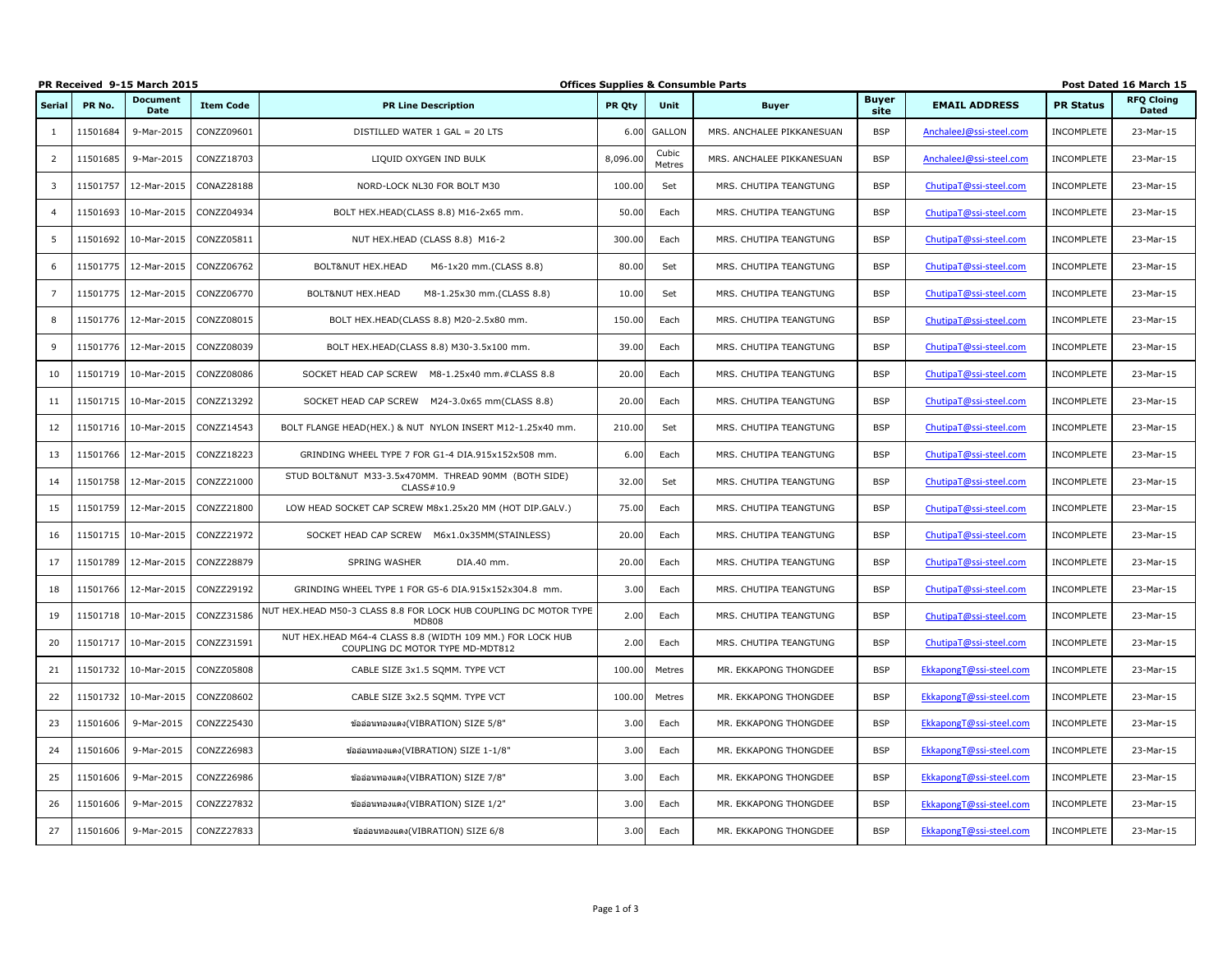|                | PR Received 9-15 March 2015 |                         |                  |                                                                                               |          |                 | <b>Offices Supplies &amp; Consumble Parts</b> |                      |                         |                   | Post Dated 16 March 15            |
|----------------|-----------------------------|-------------------------|------------------|-----------------------------------------------------------------------------------------------|----------|-----------------|-----------------------------------------------|----------------------|-------------------------|-------------------|-----------------------------------|
| Serial         | PR No.                      | <b>Document</b><br>Date | <b>Item Code</b> | <b>PR Line Description</b>                                                                    | PR Oty   | <b>Unit</b>     | <b>Buyer</b>                                  | <b>Buyer</b><br>site | <b>EMAIL ADDRESS</b>    | <b>PR Status</b>  | <b>RFO Cloing</b><br><b>Dated</b> |
| 1              | 11501684                    | 9-Mar-2015              | CONZZ09601       | DISTILLED WATER 1 GAL = 20 LTS                                                                | 6.00     | GALLON          | MRS. ANCHALEE PIKKANESUAN                     | <b>BSP</b>           | AnchaleeJ@ssi-steel.com | INCOMPLETE        | 23-Mar-15                         |
| 2              | 11501685                    | 9-Mar-2015              | CONZZ18703       | LIQUID OXYGEN IND BULK                                                                        | 8,096.00 | Cubic<br>Metres | MRS. ANCHALEE PIKKANESUAN                     | <b>BSP</b>           | AnchaleeJ@ssi-steel.com | INCOMPLETE        | 23-Mar-15                         |
| 3              | 11501757                    | 12-Mar-2015             | CONAZ28188       | NORD-LOCK NL30 FOR BOLT M30                                                                   | 100.00   | Set             | MRS. CHUTIPA TEANGTUNG                        | <b>BSP</b>           | ChutipaT@ssi-steel.com  | <b>INCOMPLETE</b> | 23-Mar-15                         |
| $\overline{4}$ | 11501693                    | 10-Mar-2015             | CONZZ04934       | BOLT HEX.HEAD(CLASS 8.8) M16-2x65 mm.                                                         | 50.00    | Each            | MRS. CHUTIPA TEANGTUNG                        | <b>BSP</b>           | ChutipaT@ssi-steel.com  | INCOMPLETE        | 23-Mar-15                         |
| .5             | 11501692                    | 10-Mar-2015             | CONZZ05811       | NUT HEX.HEAD (CLASS 8.8) M16-2                                                                | 300.00   | Each            | MRS. CHUTIPA TEANGTUNG                        | <b>BSP</b>           | ChutipaT@ssi-steel.com  | INCOMPLETE        | 23-Mar-15                         |
| 6              | 11501775                    | 12-Mar-2015             | CONZZ06762       | BOLT&NUT HEX.HEAD<br>M6-1x20 mm.(CLASS 8.8)                                                   | 80.00    | Set             | MRS. CHUTIPA TEANGTUNG                        | <b>BSP</b>           | ChutipaT@ssi-steel.com  | INCOMPLETE        | 23-Mar-15                         |
| $\overline{7}$ | 11501775                    | 12-Mar-2015             | CONZZ06770       | BOLT&NUT HEX.HEAD<br>M8-1.25x30 mm.(CLASS 8.8)                                                | 10.00    | Set             | MRS. CHUTIPA TEANGTUNG                        | <b>BSP</b>           | ChutipaT@ssi-steel.com  | INCOMPLETE        | 23-Mar-15                         |
| 8              | 11501776                    | 12-Mar-2015             | CONZZ08015       | BOLT HEX.HEAD(CLASS 8.8) M20-2.5x80 mm.                                                       | 150.00   | Each            | MRS. CHUTIPA TEANGTUNG                        | <b>BSP</b>           | ChutipaT@ssi-steel.com  | INCOMPLETE        | 23-Mar-15                         |
| 9              | 11501776                    | 12-Mar-2015             | CONZZ08039       | BOLT HEX.HEAD(CLASS 8.8) M30-3.5x100 mm.                                                      | 39.00    | Each            | MRS. CHUTIPA TEANGTUNG                        | <b>BSP</b>           | ChutipaT@ssi-steel.com  | INCOMPLETE        | 23-Mar-15                         |
| 10             | 11501719                    | 10-Mar-2015             | CONZZ08086       | SOCKET HEAD CAP SCREW M8-1.25x40 mm.#CLASS 8.8                                                | 20.00    | Each            | MRS. CHUTIPA TEANGTUNG                        | <b>BSP</b>           | ChutipaT@ssi-steel.com  | INCOMPLETE        | 23-Mar-15                         |
| 11             | 11501715                    | 10-Mar-2015             | CONZZ13292       | SOCKET HEAD CAP SCREW M24-3.0x65 mm(CLASS 8.8)                                                | 20.00    | Each            | MRS. CHUTIPA TEANGTUNG                        | <b>BSP</b>           | ChutipaT@ssi-steel.com  | INCOMPLETE        | 23-Mar-15                         |
| 12             | 11501716                    | 10-Mar-2015             | CONZZ14543       | BOLT FLANGE HEAD(HEX.) & NUT NYLON INSERT M12-1.25x40 mm.                                     | 210.00   | Set             | MRS. CHUTIPA TEANGTUNG                        | <b>BSP</b>           | ChutipaT@ssi-steel.com  | <b>INCOMPLETE</b> | 23-Mar-15                         |
| 13             | 11501766                    | 12-Mar-2015             | CONZZ18223       | GRINDING WHEEL TYPE 7 FOR G1-4 DIA.915x152x508 mm.                                            | 6.00     | Each            | MRS. CHUTIPA TEANGTUNG                        | <b>BSP</b>           | ChutipaT@ssi-steel.com  | INCOMPLETE        | 23-Mar-15                         |
| 14             | 11501758                    | 12-Mar-2015             | CONZZ21000       | STUD BOLT&NUT M33-3.5x470MM. THREAD 90MM (BOTH SIDE)<br>CLASS#10.9                            | 32.00    | Set             | MRS. CHUTIPA TEANGTUNG                        | <b>BSP</b>           | ChutipaT@ssi-steel.com  | INCOMPLETE        | 23-Mar-15                         |
| 15             | 11501759                    | 12-Mar-2015             | CONZZ21800       | LOW HEAD SOCKET CAP SCREW M8x1.25x20 MM (HOT DIP.GALV.)                                       | 75.00    | Each            | MRS. CHUTIPA TEANGTUNG                        | <b>BSP</b>           | ChutipaT@ssi-steel.com  | INCOMPLETE        | 23-Mar-15                         |
| 16             | 11501715                    | 10-Mar-2015             | CONZZ21972       | SOCKET HEAD CAP SCREW M6x1.0x35MM(STAINLESS)                                                  | 20.00    | Each            | MRS. CHUTIPA TEANGTUNG                        | <b>BSP</b>           | ChutipaT@ssi-steel.com  | INCOMPLETE        | 23-Mar-15                         |
| 17             | 11501789                    | 12-Mar-2015             | CONZZ28879       | <b>SPRING WASHER</b><br>DIA.40 mm.                                                            | 20.00    | Each            | MRS. CHUTIPA TEANGTUNG                        | <b>BSP</b>           | ChutipaT@ssi-steel.com  | <b>INCOMPLETE</b> | 23-Mar-15                         |
| 18             |                             | 11501766 12-Mar-2015    | CONZZ29192       | GRINDING WHEEL TYPE 1 FOR G5-6 DIA.915x152x304.8 mm.                                          | 3.00     | Each            | MRS. CHUTIPA TEANGTUNG                        | <b>BSP</b>           | ChutipaT@ssi-steel.com  | INCOMPLETE        | 23-Mar-15                         |
| 19             | 11501718                    | 10-Mar-2015             | CONZZ31586       | NUT HEX.HEAD M50-3 CLASS 8.8 FOR LOCK HUB COUPLING DC MOTOR TYPE<br><b>MD808</b>              | 2.00     | Each            | MRS. CHUTIPA TEANGTUNG                        | <b>BSP</b>           | ChutipaT@ssi-steel.com  | INCOMPLETE        | 23-Mar-15                         |
| 20             | 11501717                    | 10-Mar-2015             | CONZZ31591       | NUT HEX.HEAD M64-4 CLASS 8.8 (WIDTH 109 MM.) FOR LOCK HUB<br>COUPLING DC MOTOR TYPE MD-MDT812 | 2.00     | Each            | MRS. CHUTIPA TEANGTUNG                        | <b>BSP</b>           | ChutipaT@ssi-steel.com  | INCOMPLETE        | 23-Mar-15                         |
| 21             | 11501732                    | 10-Mar-2015             | CONZZ05808       | CABLE SIZE 3x1.5 SQMM. TYPE VCT                                                               | 100.00   | Metres          | MR. EKKAPONG THONGDEE                         | <b>BSP</b>           | EkkapongT@ssi-steel.com | INCOMPLETE        | 23-Mar-15                         |
| 22             | 11501732                    | 10-Mar-2015             | CONZZ08602       | CABLE SIZE 3x2.5 SQMM. TYPE VCT                                                               | 100.00   | Metres          | MR. EKKAPONG THONGDEE                         | <b>BSP</b>           | EkkapongT@ssi-steel.com | <b>INCOMPLETE</b> | 23-Mar-15                         |
| 23             | 11501606                    | 9-Mar-2015              | CONZZ25430       | ข้ออ่อนทองแดง(VIBRATION) SIZE 5/8"                                                            | 3.00     | Each            | MR. EKKAPONG THONGDEE                         | <b>BSP</b>           | EkkapongT@ssi-steel.com | INCOMPLETE        | 23-Mar-15                         |
| 24             | 11501606                    | 9-Mar-2015              | CONZZ26983       | ข้ออ่อนทองแดง(VIBRATION) SIZE 1-1/8"                                                          | 3.00     | Each            | MR. EKKAPONG THONGDEE                         | <b>BSP</b>           | EkkapongT@ssi-steel.com | <b>INCOMPLETE</b> | 23-Mar-15                         |
| 25             | 11501606                    | 9-Mar-2015              | CONZZ26986       | ข้ออ่อนทองแดง(VIBRATION) SIZE 7/8"                                                            | 3.00     | Each            | MR. EKKAPONG THONGDEE                         | <b>BSP</b>           | EkkapongT@ssi-steel.com | INCOMPLETE        | 23-Mar-15                         |
| 26             | 11501606                    | 9-Mar-2015              | CONZZ27832       | ข้ออ่อนทองแดง(VIBRATION) SIZE 1/2"                                                            | 3.00     | Each            | MR. EKKAPONG THONGDEE                         | <b>BSP</b>           | EkkapongT@ssi-steel.com | INCOMPLETE        | 23-Mar-15                         |
| 27             | 11501606                    | 9-Mar-2015              | CONZZ27833       | ข้ออ่อนทองแดง(VIBRATION) SIZE 6/8                                                             | 3.00     | Each            | MR. EKKAPONG THONGDEE                         | <b>BSP</b>           | EkkapongT@ssi-steel.com | <b>INCOMPLETE</b> | 23-Mar-15                         |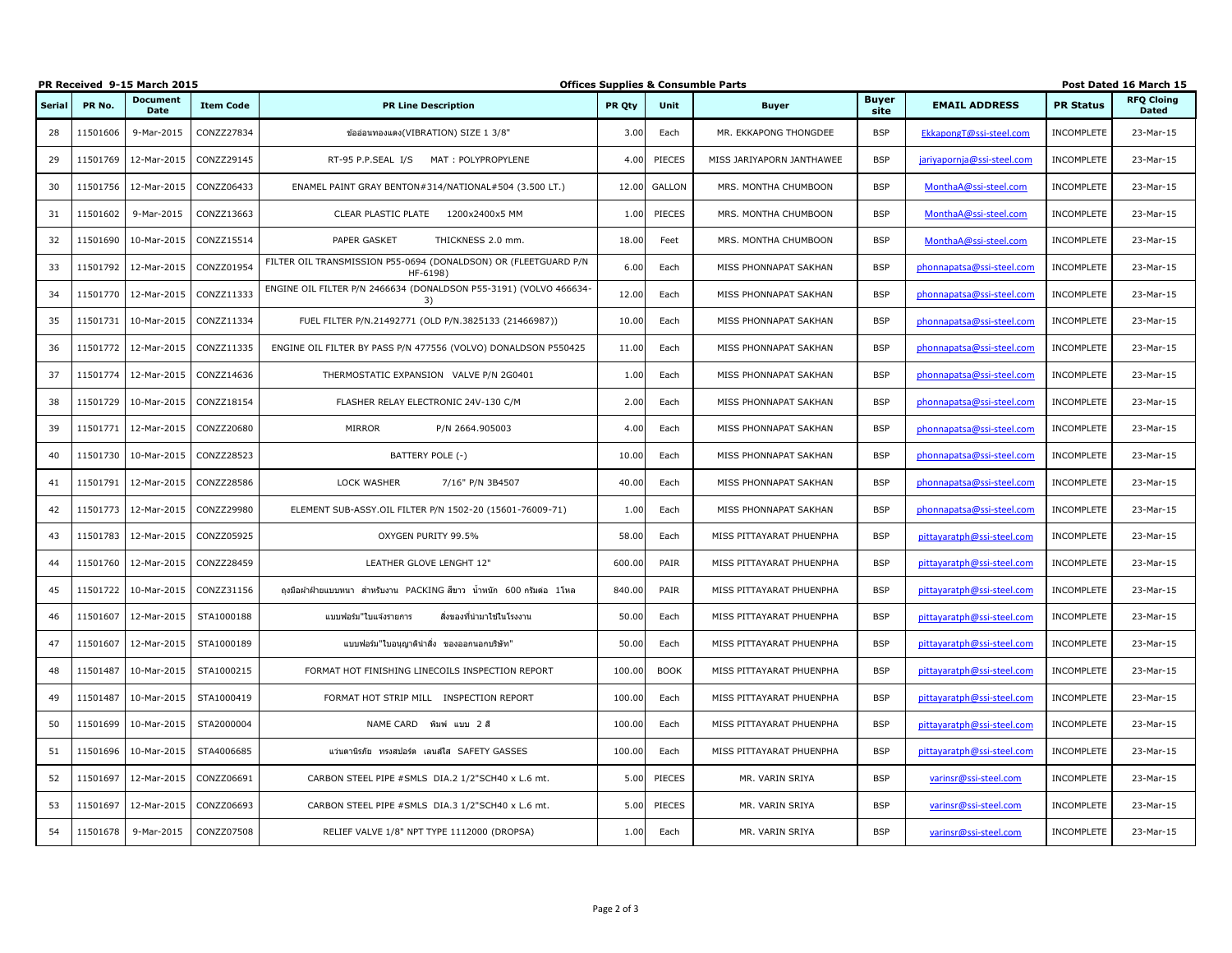|               | PR Received 9-15 March 2015 |                  |                  |                                                                             |        |               | <b>Offices Supplies &amp; Consumble Parts</b> |                      |                            |                   | Post Dated 16 March 15            |
|---------------|-----------------------------|------------------|------------------|-----------------------------------------------------------------------------|--------|---------------|-----------------------------------------------|----------------------|----------------------------|-------------------|-----------------------------------|
| <b>Serial</b> | PR No.                      | Document<br>Date | <b>Item Code</b> | <b>PR Line Description</b>                                                  | PR Oty | <b>Unit</b>   | <b>Buyer</b>                                  | <b>Buver</b><br>site | <b>EMAIL ADDRESS</b>       | <b>PR Status</b>  | <b>RFQ Cloing</b><br><b>Dated</b> |
| 28            | 11501606                    | 9-Mar-2015       | CONZZ27834       | ข้ออ่อนทองแดง(VIBRATION) SIZE 1 3/8"                                        | 3.00   | Each          | MR. EKKAPONG THONGDEE                         | <b>BSP</b>           | EkkapongT@ssi-steel.com    | <b>INCOMPLETE</b> | 23-Mar-15                         |
| 29            | 11501769                    | 12-Mar-2015      | CONZZ29145       | RT-95 P.P.SEAL I/S MAT: POLYPROPYLENE                                       | 4.00   | PIECES        | MISS JARIYAPORN JANTHAWEE                     | <b>BSP</b>           | jariyapornja@ssi-steel.com | INCOMPLETE        | 23-Mar-15                         |
| 30            | 11501756                    | 12-Mar-2015      | CONZZ06433       | ENAMEL PAINT GRAY BENTON#314/NATIONAL#504 (3.500 LT.)                       | 12.00  | <b>GALLON</b> | MRS. MONTHA CHUMBOON                          | <b>BSP</b>           | MonthaA@ssi-steel.com      | INCOMPLETE        | 23-Mar-15                         |
| 31            | 11501602                    | 9-Mar-2015       | CONZZ13663       | CLEAR PLASTIC PLATE 1200x2400x5 MM                                          | 1.00   | PIECES        | MRS. MONTHA CHUMBOON                          | <b>BSP</b>           | MonthaA@ssi-steel.com      | INCOMPLETE        | 23-Mar-15                         |
| 32            | 11501690                    | 10-Mar-2015      | CONZZ15514       | PAPER GASKET<br>THICKNESS 2.0 mm.                                           | 18.00  | Feet          | MRS. MONTHA CHUMBOON                          | <b>BSP</b>           | MonthaA@ssi-steel.com      | INCOMPLETE        | 23-Mar-15                         |
| 33            | 11501792                    | 12-Mar-2015      | CONZZ01954       | FILTER OIL TRANSMISSION P55-0694 (DONALDSON) OR (FLEETGUARD P/N<br>HF-6198) | 6.00   | Each          | MISS PHONNAPAT SAKHAN                         | <b>BSP</b>           | phonnapatsa@ssi-steel.com  | <b>INCOMPLETE</b> | 23-Mar-15                         |
| 34            | 11501770                    | 12-Mar-2015      | CONZZ11333       | ENGINE OIL FILTER P/N 2466634 (DONALDSON P55-3191) (VOLVO 466634-<br>3)     | 12.00  | Each          | MISS PHONNAPAT SAKHAN                         | <b>BSP</b>           | phonnapatsa@ssi-steel.com  | INCOMPLETE        | 23-Mar-15                         |
| 35            | 11501731                    | 10-Mar-2015      | CONZZ11334       | FUEL FILTER P/N.21492771 (OLD P/N.3825133 (21466987))                       | 10.00  | Each          | MISS PHONNAPAT SAKHAN                         | <b>BSP</b>           | phonnapatsa@ssi-steel.com  | INCOMPLETE        | 23-Mar-15                         |
| 36            | 11501772                    | 12-Mar-2015      | CONZZ11335       | ENGINE OIL FILTER BY PASS P/N 477556 (VOLVO) DONALDSON P550425              | 11.00  | Each          | MISS PHONNAPAT SAKHAN                         | <b>BSP</b>           | phonnapatsa@ssi-steel.com  | <b>INCOMPLETE</b> | 23-Mar-15                         |
| 37            | 11501774                    | 12-Mar-2015      | CONZZ14636       | THERMOSTATIC EXPANSION VALVE P/N 2G0401                                     | 1.00   | Each          | MISS PHONNAPAT SAKHAN                         | <b>BSP</b>           | phonnapatsa@ssi-steel.com  | INCOMPLETE        | 23-Mar-15                         |
| 38            | 11501729                    | 10-Mar-2015      | CONZZ18154       | FLASHER RELAY ELECTRONIC 24V-130 C/M                                        | 2.00   | Each          | MISS PHONNAPAT SAKHAN                         | <b>BSP</b>           | phonnapatsa@ssi-steel.com  | <b>INCOMPLETE</b> | 23-Mar-15                         |
| 39            | 11501771                    | 12-Mar-2015      | CONZZ20680       | <b>MIRROR</b><br>P/N 2664.905003                                            | 4.00   | Each          | MISS PHONNAPAT SAKHAN                         | <b>BSP</b>           | phonnapatsa@ssi-steel.com  | INCOMPLETE        | 23-Mar-15                         |
| 40            | 11501730                    | 10-Mar-2015      | CONZZ28523       | BATTERY POLE (-)                                                            | 10.00  | Each          | MISS PHONNAPAT SAKHAN                         | <b>BSP</b>           | phonnapatsa@ssi-steel.com  | <b>INCOMPLETE</b> | 23-Mar-15                         |
| 41            | 11501791                    | 12-Mar-2015      | CONZZ28586       | LOCK WASHER<br>7/16" P/N 3B4507                                             | 40.00  | Each          | MISS PHONNAPAT SAKHAN                         | <b>BSP</b>           | phonnapatsa@ssi-steel.com  | INCOMPLETE        | 23-Mar-15                         |
| 42            | 11501773                    | 12-Mar-2015      | CONZZ29980       | ELEMENT SUB-ASSY.OIL FILTER P/N 1502-20 (15601-76009-71)                    | 1.00   | Each          | MISS PHONNAPAT SAKHAN                         | <b>BSP</b>           | phonnapatsa@ssi-steel.com  | INCOMPLETE        | 23-Mar-15                         |
| 43            | 11501783                    | 12-Mar-2015      | CONZZ05925       | OXYGEN PURITY 99.5%                                                         | 58.00  | Each          | MISS PITTAYARAT PHUENPHA                      | <b>BSP</b>           | pittayaratph@ssi-steel.com | INCOMPLETE        | 23-Mar-15                         |
| 44            | 11501760                    | 12-Mar-2015      | CONZZ28459       | LEATHER GLOVE LENGHT 12"                                                    | 600.00 | PAIR          | MISS PITTAYARAT PHUENPHA                      | <b>BSP</b>           | pittayaratph@ssi-steel.com | INCOMPLETE        | 23-Mar-15                         |
| 45            | 11501722                    | 10-Mar-2015      | CONZZ31156       | ี ถงมือผ้าฝ้ายแบบหนา สำหรับงาน PACKING สีขาว น้ำหนัก 600 กรัมต่อ 1โหล       | 840.00 | PAIR          | MISS PITTAYARAT PHUENPHA                      | <b>BSP</b>           | pittayaratph@ssi-steel.com | <b>INCOMPLETE</b> | 23-Mar-15                         |
| 46            | 11501607                    | 12-Mar-2015      | STA1000188       | สิ่งของที่นำมาใช่ในโรงงาน<br>แบบฟอร์ม"ใบแจ้งรายการ                          | 50.00  | Each          | MISS PITTAYARAT PHUENPHA                      | <b>BSP</b>           | pittayaratph@ssi-steel.com | INCOMPLETE        | 23-Mar-15                         |
| 47            | 11501607                    | 12-Mar-2015      | STA1000189       | ีแบบฟอร์ม"ใบอนุญาตินำสิ่ง ของออกนอกบริษัท"                                  | 50.00  | Each          | MISS PITTAYARAT PHUENPHA                      | <b>BSP</b>           | pittayaratph@ssi-steel.com | INCOMPLETE        | 23-Mar-15                         |
| 48            | 11501487                    | 10-Mar-2015      | STA1000215       | FORMAT HOT FINISHING LINECOILS INSPECTION REPORT                            | 100.00 | <b>BOOK</b>   | MISS PITTAYARAT PHUENPHA                      | <b>BSP</b>           | pittayaratph@ssi-steel.com | INCOMPLETE        | 23-Mar-15                         |
| 49            | 11501487                    | 10-Mar-2015      | STA1000419       | FORMAT HOT STRIP MILL INSPECTION REPORT                                     | 100.00 | Each          | MISS PITTAYARAT PHUENPHA                      | <b>BSP</b>           | pittavaratph@ssi-steel.com | INCOMPLETE        | 23-Mar-15                         |
| 50            | 11501699                    | 10-Mar-2015      | STA2000004       | NAME CARD พิมพ์ แบบ 2 สี                                                    | 100.00 | Each          | MISS PITTAYARAT PHUENPHA                      | <b>BSP</b>           | pittayaratph@ssi-steel.com | INCOMPLETE        | 23-Mar-15                         |
| 51            | 11501696                    | 10-Mar-2015      | STA4006685       | แว่นตานิรภัย ทรงสปอร์ต เลนส์ใส SAFETY GASSES                                | 100.00 | Each          | MISS PITTAYARAT PHUENPHA                      | <b>BSP</b>           | pittayaratph@ssi-steel.com | INCOMPLETE        | 23-Mar-15                         |
| 52            | 11501697                    | 12-Mar-2015      | CONZZ06691       | CARBON STEEL PIPE #SMLS DIA.2 1/2"SCH40 x L.6 mt.                           | 5.00   | PIECES        | MR. VARIN SRIYA                               | <b>BSP</b>           | varinsr@ssi-steel.com      | INCOMPLETE        | 23-Mar-15                         |
| 53            | 11501697                    | 12-Mar-2015      | CONZZ06693       | CARBON STEEL PIPE #SMLS DIA.3 1/2"SCH40 x L.6 mt.                           | 5.00   | PIECES        | MR. VARIN SRIYA                               | <b>BSP</b>           | varinsr@ssi-steel.com      | INCOMPLETE        | 23-Mar-15                         |
| 54            | 11501678                    | 9-Mar-2015       | CONZZ07508       | RELIEF VALVE 1/8" NPT TYPE 1112000 (DROPSA)                                 | 1.00   | Each          | MR. VARIN SRIYA                               | <b>BSP</b>           | varinsr@ssi-steel.com      | <b>INCOMPLETE</b> | 23-Mar-15                         |